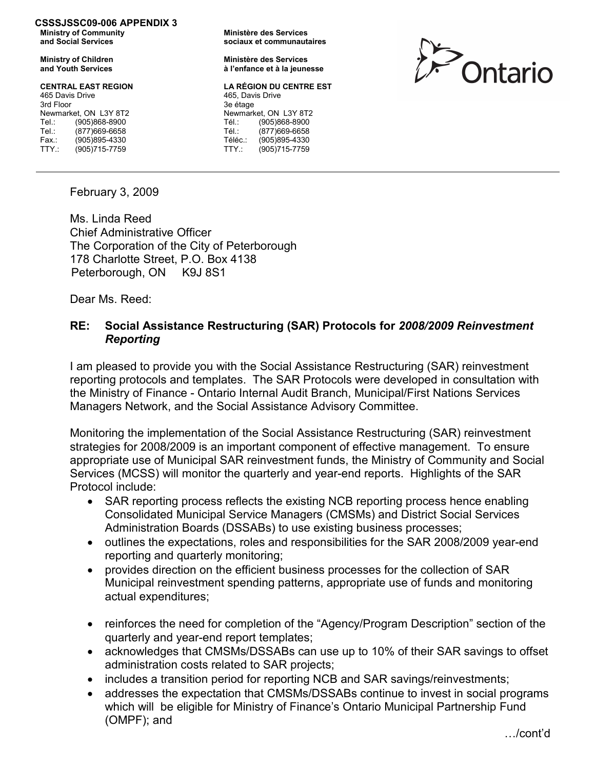#### CSSSJSSC09-006 APPENDIX 3 Ministry of Community

and Social Services

Ministry of Children and Youth Services

### CENTRAL EAST REGION

| 465 Davis Drive       |               |
|-----------------------|---------------|
| 3rd Floor             |               |
| Newmarket, ON L3Y 8T2 |               |
| Tel.:                 | (905)868-8900 |
| Tel.:                 | (877)669-6658 |
| Fax.:                 | (905)895-4330 |
| TTY:                  | (905)715-7759 |

Ministère des Services sociaux et communautaires

Ministère des Services à l'enfance et à la jeunesse

### LA RÉGION DU CENTRE EST

465 Davis Drive 3e étage Newmarket, ON L3Y 8T2 Tél.: (905)868-8900<br>Tél.: (877)669-6658 (877)669-6658 Téléc.: (905)895-4330<br>TTY.: (905)715-7759  $(905)715-7759$ 



February 3, 2009

Ms. Linda Reed Chief Administrative Officer The Corporation of the City of Peterborough 178 Charlotte Street, P.O. Box 4138 Peterborough, ON K9J 8S1

Dear Ms. Reed:

# RE: Social Assistance Restructuring (SAR) Protocols for 2008/2009 Reinvestment Reporting

I am pleased to provide you with the Social Assistance Restructuring (SAR) reinvestment reporting protocols and templates. The SAR Protocols were developed in consultation with the Ministry of Finance - Ontario Internal Audit Branch, Municipal/First Nations Services Managers Network, and the Social Assistance Advisory Committee.

Monitoring the implementation of the Social Assistance Restructuring (SAR) reinvestment strategies for 2008/2009 is an important component of effective management. To ensure appropriate use of Municipal SAR reinvestment funds, the Ministry of Community and Social Services (MCSS) will monitor the quarterly and year-end reports. Highlights of the SAR Protocol include:

- SAR reporting process reflects the existing NCB reporting process hence enabling Consolidated Municipal Service Managers (CMSMs) and District Social Services Administration Boards (DSSABs) to use existing business processes;
- outlines the expectations, roles and responsibilities for the SAR 2008/2009 year-end reporting and quarterly monitoring;
- provides direction on the efficient business processes for the collection of SAR Municipal reinvestment spending patterns, appropriate use of funds and monitoring actual expenditures;
- reinforces the need for completion of the "Agency/Program Description" section of the quarterly and year-end report templates;
- acknowledges that CMSMs/DSSABs can use up to 10% of their SAR savings to offset administration costs related to SAR projects;
- includes a transition period for reporting NCB and SAR savings/reinvestments;
- addresses the expectation that CMSMs/DSSABs continue to invest in social programs which will be eligible for Ministry of Finance's Ontario Municipal Partnership Fund (OMPF); and

…/cont'd